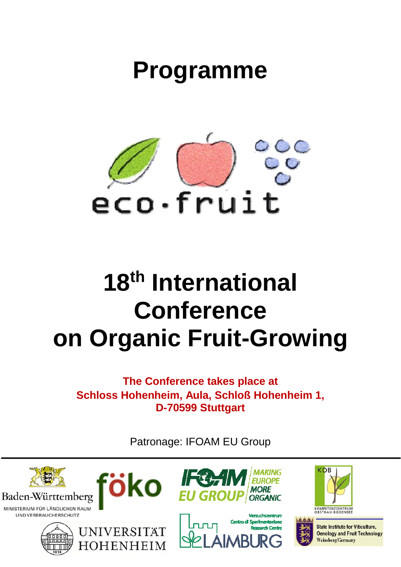## **Programme**



# **18th International Conference on Organic Fruit-Growing**

**The Conference takes place at Schloss Hohenheim, Aula, Schloß Hohenheim 1, D-70599 Stuttgart** 

Patronage: IFOAM EU Group

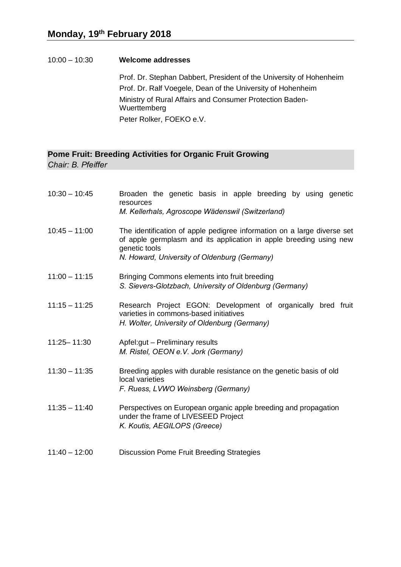10:00 – 10:30 **Welcome addresses** 

Prof. Dr. Stephan Dabbert, President of the University of Hohenheim Prof. Dr. Ralf Voegele, Dean of the University of Hohenheim Ministry of Rural Affairs and Consumer Protection Baden-Wuerttemberg Peter Rolker, FOEKO e.V.

## **Pome Fruit: Breeding Activities for Organic Fruit Growing**

*Chair: B. Pfeiffer* 

| $10:30 - 10:45$ | Broaden the genetic basis in apple breeding by using genetic<br>resources<br>M. Kellerhals, Agroscope Wädenswil (Switzerland)                                                                                  |
|-----------------|----------------------------------------------------------------------------------------------------------------------------------------------------------------------------------------------------------------|
| $10:45 - 11:00$ | The identification of apple pedigree information on a large diverse set<br>of apple germplasm and its application in apple breeding using new<br>genetic tools<br>N. Howard, University of Oldenburg (Germany) |
| $11:00 - 11:15$ | Bringing Commons elements into fruit breeding<br>S. Sievers-Glotzbach, University of Oldenburg (Germany)                                                                                                       |
| $11:15 - 11:25$ | Research Project EGON: Development of organically bred fruit<br>varieties in commons-based initiatives<br>H. Wolter, University of Oldenburg (Germany)                                                         |
| 11:25-11:30     | Apfel:gut - Preliminary results<br>M. Ristel, OEON e.V. Jork (Germany)                                                                                                                                         |
| $11:30 - 11:35$ | Breeding apples with durable resistance on the genetic basis of old<br>local varieties<br>F. Ruess, LVWO Weinsberg (Germany)                                                                                   |
| $11:35 - 11:40$ | Perspectives on European organic apple breeding and propagation<br>under the frame of LIVESEED Project<br>K. Koutis, AEGILOPS (Greece)                                                                         |
| $11:40 - 12:00$ | Discussion Pome Fruit Breeding Strategies                                                                                                                                                                      |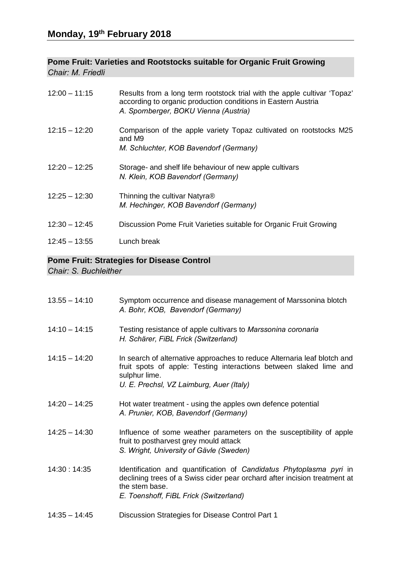#### **Pome Fruit: Varieties and Rootstocks suitable for Organic Fruit Growing**  *Chair: M. Friedli*

| $12:00 - 11:15$ | Results from a long term rootstock trial with the apple cultivar 'Topaz'<br>according to organic production conditions in Eastern Austria<br>A. Spornberger, BOKU Vienna (Austria) |
|-----------------|------------------------------------------------------------------------------------------------------------------------------------------------------------------------------------|
| $12:15 - 12:20$ | Comparison of the apple variety Topaz cultivated on rootstocks M25<br>and M9<br>M. Schluchter, KOB Bavendorf (Germany)                                                             |
| $12:20 - 12:25$ | Storage- and shelf life behaviour of new apple cultivars<br>N. Klein, KOB Bavendorf (Germany)                                                                                      |
| $12:25 - 12:30$ | Thinning the cultivar Natyra®<br>M. Hechinger, KOB Bavendorf (Germany)                                                                                                             |
| $12:30 - 12:45$ | Discussion Pome Fruit Varieties suitable for Organic Fruit Growing                                                                                                                 |
| $12:45 - 13:55$ | Lunch break                                                                                                                                                                        |

## **Pome Fruit: Strategies for Disease Control**

*Chair: S. Buchleither* 

| $13.55 - 14:10$ | Symptom occurrence and disease management of Marssonina blotch<br>A. Bohr, KOB, Bavendorf (Germany)                                                                                                          |
|-----------------|--------------------------------------------------------------------------------------------------------------------------------------------------------------------------------------------------------------|
| $14:10 - 14:15$ | Testing resistance of apple cultivars to Marssonina coronaria<br>H. Schärer, FiBL Frick (Switzerland)                                                                                                        |
| $14:15 - 14:20$ | In search of alternative approaches to reduce Alternaria leaf blotch and<br>fruit spots of apple: Testing interactions between slaked lime and<br>sulphur lime.<br>U. E. Prechsl, VZ Laimburg, Auer (Italy)  |
| $14:20 - 14:25$ | Hot water treatment - using the apples own defence potential<br>A. Prunier, KOB, Bavendorf (Germany)                                                                                                         |
| $14:25 - 14:30$ | Influence of some weather parameters on the susceptibility of apple<br>fruit to postharvest grey mould attack<br>S. Wright, University of Gävle (Sweden)                                                     |
| 14:30: 14:35    | Identification and quantification of Candidatus Phytoplasma pyri in<br>declining trees of a Swiss cider pear orchard after incision treatment at<br>the stem base.<br>E. Toenshoff, FiBL Frick (Switzerland) |
| $14:35 - 14:45$ | Discussion Strategies for Disease Control Part 1                                                                                                                                                             |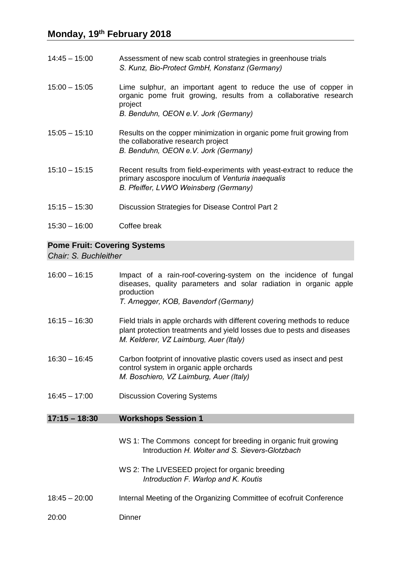- 14:45 15:00 Assessment of new scab control strategies in greenhouse trials *S. Kunz, Bio-Protect GmbH, Konstanz (Germany)*
- 15:00 15:05 Lime sulphur, an important agent to reduce the use of copper in organic pome fruit growing, results from a collaborative research project *B. Benduhn, OEON e.V. Jork (Germany)*
- 15:05 15:10 Results on the copper minimization in organic pome fruit growing from the collaborative research project *B. Benduhn, OEON e.V. Jork (Germany)*
- 15:10 15:15 Recent results from field-experiments with yeast-extract to reduce the primary ascospore inoculum of *Venturia inaequalis B. Pfeiffer, LVWO Weinsberg (Germany)*
- 15:15 15:30 Discussion Strategies for Disease Control Part 2
- 15:30 16:00 Coffee break

#### **Pome Fruit: Covering Systems**

*Chair: S. Buchleither* 

16:00 – 16:15 Impact of a rain-roof-covering-system on the incidence of fungal diseases, quality parameters and solar radiation in organic apple production *T. Arnegger, KOB, Bavendorf (Germany)*  16:15 – 16:30 Field trials in apple orchards with different covering methods to reduce plant protection treatments and yield losses due to pests and diseases *M. Kelderer, VZ Laimburg, Auer (Italy)*  16:30 – 16:45 Carbon footprint of innovative plastic covers used as insect and pest control system in organic apple orchards *M. Boschiero, VZ Laimburg, Auer (Italy)*  16:45 – 17:00 Discussion Covering Systems **17:15 – 18:30 Workshops Session 1**  WS 1: The Commons concept for breeding in organic fruit growing Introduction *H. Wolter and S. Sievers-Glotzbach*  WS 2: The LIVESEED project for organic breeding *Introduction F. Warlop and K. Koutis*  18:45 – 20:00 Internal Meeting of the Organizing Committee of ecofruit Conference 20:00 Dinner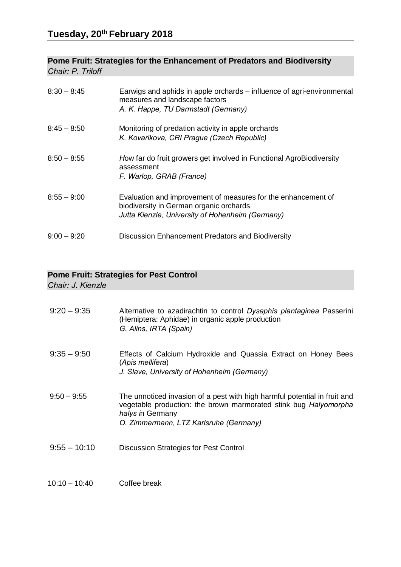### **Pome Fruit: Strategies for the Enhancement of Predators and Biodiversity**  *Chair: P. Triloff*

| $8:30 - 8:45$ | Earwigs and aphids in apple orchards – influence of agri-environmental<br>measures and landscape factors<br>A. K. Happe, TU Darmstadt (Germany)              |
|---------------|--------------------------------------------------------------------------------------------------------------------------------------------------------------|
| $8:45 - 8:50$ | Monitoring of predation activity in apple orchards<br>K. Kovarikova, CRI Prague (Czech Republic)                                                             |
| $8:50 - 8:55$ | How far do fruit growers get involved in Functional AgroBiodiversity<br>assessment<br>F. Warlop, GRAB (France)                                               |
| $8:55 - 9:00$ | Evaluation and improvement of measures for the enhancement of<br>biodiversity in German organic orchards<br>Jutta Kienzle, University of Hohenheim (Germany) |
| $9:00 - 9:20$ | Discussion Enhancement Predators and Biodiversity                                                                                                            |

## **Pome Fruit: Strategies for Pest Control**

*Chair: J. Kienzle* 

| $9:20 - 9:35$   | Alternative to azadirachtin to control Dysaphis plantaginea Passerini<br>(Hemiptera: Aphidae) in organic apple production<br>G. Alins, IRTA (Spain)                                                         |
|-----------------|-------------------------------------------------------------------------------------------------------------------------------------------------------------------------------------------------------------|
| $9:35 - 9:50$   | Effects of Calcium Hydroxide and Quassia Extract on Honey Bees<br>(Apis mellifera)<br>J. Slave, University of Hohenheim (Germany)                                                                           |
| $9:50 - 9:55$   | The unnoticed invasion of a pest with high harmful potential in fruit and<br>vegetable production: the brown marmorated stink bug Halyomorpha<br>halys in Germany<br>O. Zimmermann, LTZ Karlsruhe (Germany) |
| $9:55 - 10:10$  | Discussion Strategies for Pest Control                                                                                                                                                                      |
| $10:10 - 10:40$ | Coffee break                                                                                                                                                                                                |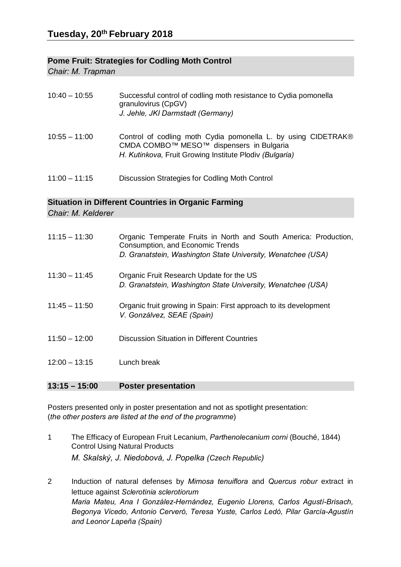#### **Pome Fruit: Strategies for Codling Moth Control**

*Chair: M. Trapman* 

| $10:40 - 10:55$ | Successful control of codling moth resistance to Cydia pomonella<br>granulovirus (CpGV)<br>J. Jehle, JKI Darmstadt (Germany)                                         |
|-----------------|----------------------------------------------------------------------------------------------------------------------------------------------------------------------|
| $10:55 - 11:00$ | Control of codling moth Cydia pomonella L. by using CIDETRAK®<br>CMDA COMBO™ MESO™ dispensers in Bulgaria<br>H. Kutinkova, Fruit Growing Institute Plodiv (Bulgaria) |
| $11:00 - 11:15$ | Discussion Strategies for Codling Moth Control                                                                                                                       |

#### **Situation in Different Countries in Organic Farming**

*Chair: M. Kelderer* 

| $11:15 - 11:30$ | Organic Temperate Fruits in North and South America: Production,<br>Consumption, and Economic Trends<br>D. Granatstein, Washington State University, Wenatchee (USA) |
|-----------------|----------------------------------------------------------------------------------------------------------------------------------------------------------------------|
| $11:30 - 11:45$ | Organic Fruit Research Update for the US<br>D. Granatstein, Washington State University, Wenatchee (USA)                                                             |
| $11:45 - 11:50$ | Organic fruit growing in Spain: First approach to its development<br>V. Gonzálvez, SEAE (Spain)                                                                      |
| $11:50 - 12:00$ | Discussion Situation in Different Countries                                                                                                                          |
| $12:00 - 13:15$ | Lunch break                                                                                                                                                          |
|                 |                                                                                                                                                                      |

#### **13:15 – 15:00 Poster presentation**

Posters presented only in poster presentation and not as spotlight presentation: (*the other posters are listed at the end of the programme*)

- 1 The Efficacy of European Fruit Lecanium, *Parthenolecanium corni* (Bouché, 1844) Control Using Natural Products *M. Skalský, J. Niedobová, J. Popelka (Czech Republic)*
- 2 Induction of natural defenses by *Mimosa tenuiflora* and *Quercus robur* extract in lettuce against *Sclerotinia sclerotiorum Maria Mateu, Ana I González-Hernández, Eugenio Llorens, Carlos Agustí-Brisach, Begonya Vicedo, Antonio Cerveró, Teresa Yuste, Carlos Ledó, Pilar García-Agustín and Leonor Lapeña (Spain)*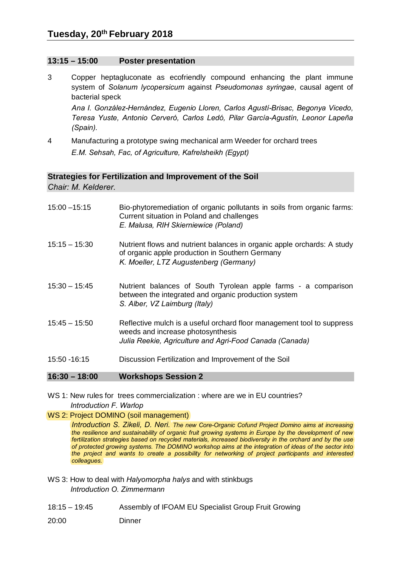#### **13:15 – 15:00 Poster presentation**

3 Copper heptagluconate as ecofriendly compound enhancing the plant immune system of *Solanum lycopersicum* against *Pseudomonas syringae*, causal agent of bacterial speck

*Ana I. González-Hernández, Eugenio Lloren, Carlos Agustí-Brisac, Begonya Vicedo, Teresa Yuste, Antonio Cerveró, Carlos Ledó, Pilar García-Agustín, Leonor Lapeña (Spain).* 

4 Manufacturing a prototype swing mechanical arm Weeder for orchard trees *E.M. Sehsah, Fac, of Agriculture, Kafrelsheikh (Egypt)* 

#### **Strategies for Fertilization and Improvement of the Soil**

*Chair: M. Kelderer.* 

| $16:30 - 18:00$ | <b>Workshops Session 2</b>                                                                                                                                           |
|-----------------|----------------------------------------------------------------------------------------------------------------------------------------------------------------------|
| 15:50 - 16:15   | Discussion Fertilization and Improvement of the Soil                                                                                                                 |
|                 | weeds and increase photosynthesis<br>Julia Reekie, Agriculture and Agri-Food Canada (Canada)                                                                         |
| $15:45 - 15:50$ | S. Alber, VZ Laimburg (Italy)<br>Reflective mulch is a useful orchard floor management tool to suppress                                                              |
| $15:30 - 15:45$ | Nutrient balances of South Tyrolean apple farms - a comparison<br>between the integrated and organic production system                                               |
| $15:15 - 15:30$ | Nutrient flows and nutrient balances in organic apple orchards: A study<br>of organic apple production in Southern Germany<br>K. Moeller, LTZ Augustenberg (Germany) |
| $15:00 - 15:15$ | Bio-phytoremediation of organic pollutants in soils from organic farms:<br>Current situation in Poland and challenges<br>E. Malusa, RIH Skierniewice (Poland)        |

WS 1: New rules for trees commercialization : where are we in EU countries? *Introduction F. Warlop* 

#### WS 2: Project DOMINO (soil management)

*Introduction S. Zikeli, D. Neri. The new Core-Organic Cofund Project Domino aims at increasing the resilience and sustainability of organic fruit growing systems in Europe by the development of new fertilization strategies based on recycled materials, increased biodiversity in the orchard and by the use of protected growing systems. The DOMINO workshop aims at the integration of ideas of the sector into the project and wants to create a possibility for networking of project participants and interested colleagues.* 

- WS 3: How to deal with *Halyomorpha halys* and with stinkbugs *Introduction O. Zimmermann*
- 18:15 19:45 Assembly of IFOAM EU Specialist Group Fruit Growing
- 20:00 Dinner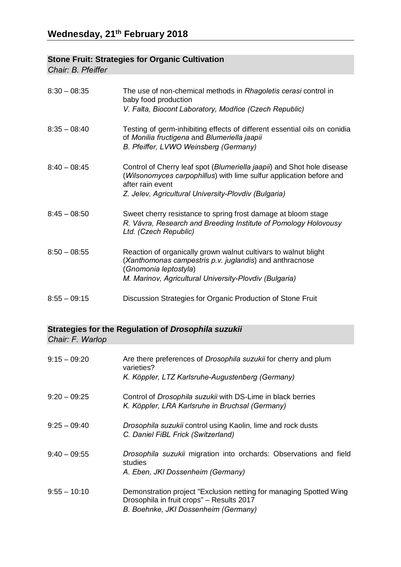## **Stone Fruit: Strategies for Organic Cultivation**

*Chair: B. Pfeiffer* 

| $8:30 - 08:35$ | The use of non-chemical methods in Rhagoletis cerasi control in<br>baby food production<br>V. Falta, Biocont Laboratory, Modřice (Czech Republic)                                                                         |
|----------------|---------------------------------------------------------------------------------------------------------------------------------------------------------------------------------------------------------------------------|
| $8:35 - 08:40$ | Testing of germ-inhibiting effects of different essential oils on conidia<br>of Monilia fructigena and Blumeriella jaapii<br>B. Pfeiffer, LVWO Weinsberg (Germany)                                                        |
| $8:40 - 08:45$ | Control of Cherry leaf spot (Blumeriella jaapii) and Shot hole disease<br>(Wilsonomyces carpophillus) with lime sulfur application before and<br>after rain event<br>Z. Jelev, Agricultural University-Plovdiv (Bulgaria) |
| $8:45 - 08:50$ | Sweet cherry resistance to spring frost damage at bloom stage<br>R. Vávra, Research and Breeding Institute of Pomology Holovousy<br>Ltd. (Czech Republic)                                                                 |
| $8:50 - 08:55$ | Reaction of organically grown walnut cultivars to walnut blight<br>(Xanthomonas campestris p.v. juglandis) and anthracnose<br>(Gnomonia leptostyla)<br>M. Marinov, Agricultural University-Plovdiv (Bulgaria)             |
| $8:55 - 09:15$ | Discussion Strategies for Organic Production of Stone Fruit                                                                                                                                                               |

## **Strategies for the Regulation of** *Drosophila suzukii*

*Chair: F. Warlop* 

| $9:15 - 09:20$ | Are there preferences of <i>Drosophila suzukii</i> for cherry and plum<br>varieties?<br>K. Köppler, LTZ Karlsruhe-Augustenberg (Germany)                |
|----------------|---------------------------------------------------------------------------------------------------------------------------------------------------------|
| $9:20 - 09:25$ | Control of <i>Drosophila suzukii</i> with DS-Lime in black berries<br>K. Köppler, LRA Karlsruhe in Bruchsal (Germany)                                   |
| $9:25 - 09:40$ | Drosophila suzukii control using Kaolin, lime and rock dusts<br>C. Daniel FiBL Frick (Switzerland)                                                      |
| $9:40 - 09:55$ | Drosophila suzukii migration into orchards: Observations and field<br>studies<br>A. Eben, JKI Dossenheim (Germany)                                      |
| $9:55 - 10:10$ | Demonstration project "Exclusion netting for managing Spotted Wing<br>Drosophila in fruit crops" - Results 2017<br>B. Boehnke, JKI Dossenheim (Germany) |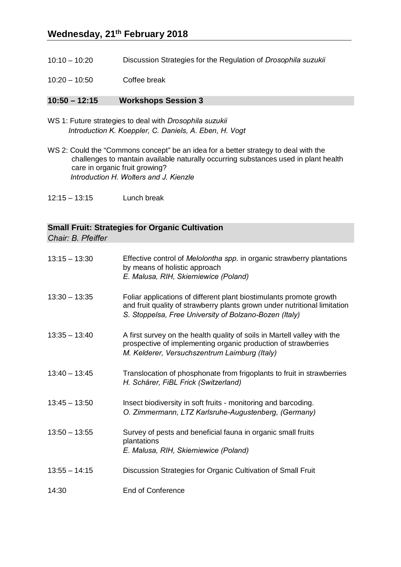- 10:10 10:20 Discussion Strategies for the Regulation of *Drosophila suzukii*
- 10:20 10:50 Coffee break

#### **10:50 – 12:15 Workshops Session 3**

- WS 1: Future strategies to deal with *Drosophila suzukii Introduction K. Koeppler, C. Daniels, A. Eben, H. Vogt*
- WS 2: Could the "Commons concept" be an idea for a better strategy to deal with the challenges to mantain available naturally occurring substances used in plant health care in organic fruit growing? *Introduction H. Wolters and J. Kienzle*
- 12:15 13:15 Lunch break

### **Small Fruit: Strategies for Organic Cultivation**

*Chair: B. Pfeiffer* 

| $13:15 - 13:30$ | Effective control of Melolontha spp. in organic strawberry plantations<br>by means of holistic approach<br>E. Malusa, RIH, Skierniewice (Poland)                                                           |
|-----------------|------------------------------------------------------------------------------------------------------------------------------------------------------------------------------------------------------------|
| $13:30 - 13:35$ | Foliar applications of different plant biostimulants promote growth<br>and fruit quality of strawberry plants grown under nutritional limitation<br>S. Stoppelsa, Free University of Bolzano-Bozen (Italy) |
| $13:35 - 13:40$ | A first survey on the health quality of soils in Martell valley with the<br>prospective of implementing organic production of strawberries<br>M. Kelderer, Versuchszentrum Laimburg (Italy)                |
| $13:40 - 13:45$ | Translocation of phosphonate from frigoplants to fruit in strawberries<br>H. Schärer, FiBL Frick (Switzerland)                                                                                             |
| $13:45 - 13:50$ | Insect biodiversity in soft fruits - monitoring and barcoding.<br>O. Zimmermann, LTZ Karlsruhe-Augustenberg, (Germany)                                                                                     |
| $13:50 - 13:55$ | Survey of pests and beneficial fauna in organic small fruits<br>plantations<br>E. Malusa, RIH, Skierniewice (Poland)                                                                                       |
| $13:55 - 14:15$ | Discussion Strategies for Organic Cultivation of Small Fruit                                                                                                                                               |
| 14:30           | <b>End of Conference</b>                                                                                                                                                                                   |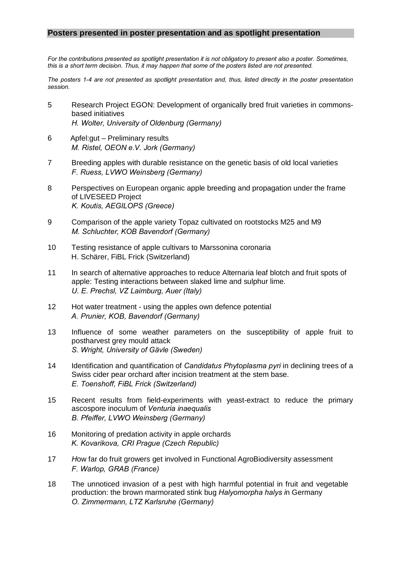#### **Posters presented in poster presentation and as spotlight presentation**

*For the contributions presented as spotlight presentation it is not obligatory to present also a poster. Sometimes, this is a short term decision. Thus, it may happen that some of the posters listed are not presented.* 

*The posters 1-4 are not presented as spotlight presentation and, thus, listed directly in the poster presentation session.* 

- 5 Research Project EGON: Development of organically bred fruit varieties in commonsbased initiatives *H. Wolter, University of Oldenburg (Germany)*
- 6 Apfel:gut Preliminary results *M. Ristel, OEON e.V. Jork (Germany)*
- 7 Breeding apples with durable resistance on the genetic basis of old local varieties *F. Ruess, LVWO Weinsberg (Germany)*
- 8 Perspectives on European organic apple breeding and propagation under the frame of LIVESEED Project *K. Koutis, AEGILOPS (Greece)*
- 9 Comparison of the apple variety Topaz cultivated on rootstocks M25 and M9 *M. Schluchter, KOB Bavendorf (Germany)*
- 10 Testing resistance of apple cultivars to Marssonina coronaria H. Schärer, FiBL Frick (Switzerland)
- 11 In search of alternative approaches to reduce Alternaria leaf blotch and fruit spots of apple: Testing interactions between slaked lime and sulphur lime.  *U. E. Prechsl, VZ Laimburg, Auer (Italy)*
- 12 Hot water treatment using the apples own defence potential *A. Prunier, KOB, Bavendorf (Germany)*
- 13 Influence of some weather parameters on the susceptibility of apple fruit to postharvest grey mould attack *S. Wright, University of Gävle (Sweden)*
- 14 Identification and quantification of *Candidatus Phytoplasma pyri* in declining trees of a Swiss cider pear orchard after incision treatment at the stem base. *E. Toenshoff, FiBL Frick (Switzerland)*
- 15 Recent results from field-experiments with yeast-extract to reduce the primary ascospore inoculum of *Venturia inaequalis B. Pfeiffer, LVWO Weinsberg (Germany)*
- 16 Monitoring of predation activity in apple orchards *K. Kovarikova, CRI Prague (Czech Republic)*
- 17 *H*ow far do fruit growers get involved in Functional AgroBiodiversity assessment  *F. Warlop, GRAB (France)*
- 18 The unnoticed invasion of a pest with high harmful potential in fruit and vegetable production: the brown marmorated stink bug *Halyomorpha halys i*n Germany *O. Zimmermann, LTZ Karlsruhe (Germany)*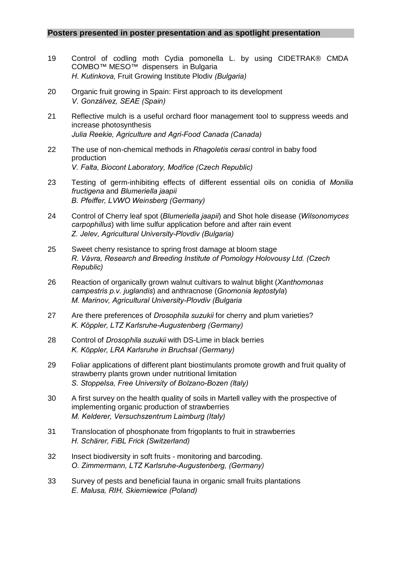#### **Posters presented in poster presentation and as spotlight presentation**

- 19 Control of codling moth Cydia pomonella L. by using CIDETRAK® CMDA COMBO™ MESO™ dispensers in Bulgaria *H. Kutinkova,* Fruit Growing Institute Plodiv *(Bulgaria)*
- 20 Organic fruit growing in Spain: First approach to its development *V. Gonzálvez, SEAE (Spain)*
- 21 Reflective mulch is a useful orchard floor management tool to suppress weeds and increase photosynthesis *Julia Reekie, Agriculture and Agri-Food Canada (Canada)*
- 22 The use of non-chemical methods in *Rhagoletis cerasi* control in baby food production *V. Falta, Biocont Laboratory, Modřice (Czech Republic)*
- 23 Testing of germ-inhibiting effects of different essential oils on conidia of *Monilia fructigena* and *Blumeriella jaapii B. Pfeiffer, LVWO Weinsberg (Germany)*
- 24 Control of Cherry leaf spot (*Blumeriella jaapii*) and Shot hole disease (*Wilsonomyces carpophillus*) with lime sulfur application before and after rain event *Z. Jelev, Agricultural University-Plovdiv (Bulgaria)*
- 25 Sweet cherry resistance to spring frost damage at bloom stage *R. Vávra, Research and Breeding Institute of Pomology Holovousy Ltd. (Czech Republic)*
- 26 Reaction of organically grown walnut cultivars to walnut blight (*Xanthomonas campestris p.v. juglandis*) and anthracnose (*Gnomonia leptostyla*) *M. Marinov, Agricultural University-Plovdiv (Bulgaria*
- 27 Are there preferences of *Drosophila suzukii* for cherry and plum varieties? *K. Köppler, LTZ Karlsruhe-Augustenberg (Germany)*
- 28 Control of *Drosophila suzukii* with DS-Lime in black berries *K. Köppler, LRA Karlsruhe in Bruchsal (Germany)*
- 29 Foliar applications of different plant biostimulants promote growth and fruit quality of strawberry plants grown under nutritional limitation *S. Stoppelsa, Free University of Bolzano-Bozen (Italy)*
- 30 A first survey on the health quality of soils in Martell valley with the prospective of implementing organic production of strawberries *M. Kelderer, Versuchszentrum Laimburg (Italy)*
- 31 Translocation of phosphonate from frigoplants to fruit in strawberries *H. Schärer, FiBL Frick (Switzerland)*
- 32 Insect biodiversity in soft fruits monitoring and barcoding. *O. Zimmermann, LTZ Karlsruhe-Augustenberg, (Germany)*
- 33 Survey of pests and beneficial fauna in organic small fruits plantations *E. Malusa, RIH, Skierniewice (Poland)*